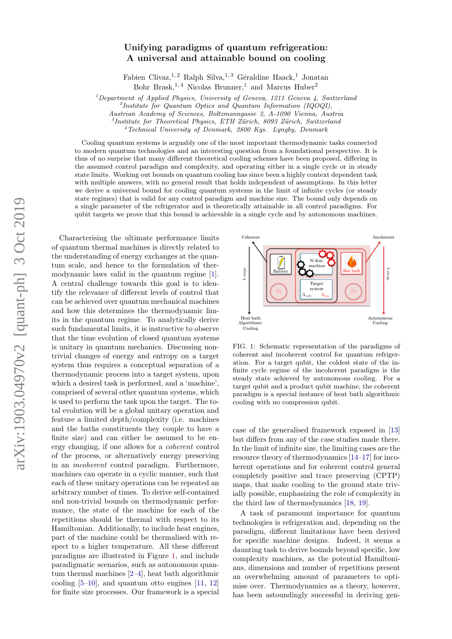# Unifying paradigms of quantum refrigeration: A universal and attainable bound on cooling

Fabien Clivaz, <sup>1, 2</sup> Ralph Silva, <sup>1, 3</sup> Géraldine Haack,<sup>1</sup> Jonatan

Bohr Brask,<sup>1,4</sup> Nicolas Brunner,<sup>1</sup> and Marcus Huber<sup>2</sup>

<sup>1</sup>Department of Applied Physics, University of Geneva, 1211 Geneva 4, Switzerland

<sup>2</sup>Institute for Quantum Optics and Quantum Information (IQOQI),

Austrian Academy of Sciences, Boltzmanngasse 3, A-1090 Vienna, Austria

<sup>3</sup>Institute for Theoretical Physics, ETH Zürich, 8093 Zürich, Switzerland

 $4$ Technical University of Denmark, 2800 Kgs. Lyngby, Denmark

Cooling quantum systems is arguably one of the most important thermodynamic tasks connected to modern quantum technologies and an interesting question from a foundational perspective. It is thus of no surprise that many different theoretical cooling schemes have been proposed, differing in the assumed control paradigm and complexity, and operating either in a single cycle or in steady state limits. Working out bounds on quantum cooling has since been a highly context dependent task with multiple answers, with no general result that holds independent of assumptions. In this letter we derive a universal bound for cooling quantum systems in the limit of infinite cycles (or steady state regimes) that is valid for any control paradigm and machine size. The bound only depends on a single parameter of the refrigerator and is theoretically attainable in all control paradigms. For qubit targets we prove that this bound is achievable in a single cycle and by autonomous machines.

Characterising the ultimate performance limits of quantum thermal machines is directly related to the understanding of energy exchanges at the quantum scale, and hence to the formulation of thermodynamic laws valid in the quantum regime [\[1\]](#page-4-0). A central challenge towards this goal is to identify the relevance of different levels of control that can be achieved over quantum mechanical machines and how this determines the thermodynamic limits in the quantum regime. To analytically derive such fundamental limits, it is instructive to observe that the time evolution of closed quantum systems is unitary in quantum mechanics. Discussing nontrivial changes of energy and entropy on a target system thus requires a conceptual separation of a thermodynamic process into a target system, upon which a desired task is performed, and a 'machine', comprised of several other quantum systems, which is used to perform the task upon the target. The total evolution will be a global unitary operation and feature a limited depth/complexity (i.e. machines and the baths constituents they couple to have a finite size) and can either be assumed to be energy changing, if one allows for a coherent control of the process, or alternatively energy preserving in an incoherent control paradigm. Furthermore, machines can operate in a cyclic manner, such that each of these unitary operations can be repeated an arbitrary number of times. To derive self-contained and non-trivial bounds on thermodynamic performance, the state of the machine for each of the repetitions should be thermal with respect to its Hamiltonian. Additionally, to include heat engines, part of the machine could be thermalised with respect to a higher temperature. All these different paradigms are illustrated in Figure [1,](#page-0-0) and include paradigmatic scenarios, such as autonomous quantum thermal machines [\[2–](#page-4-1)[4\]](#page-4-2), heat bath algorithmic cooling  $[5-10]$  $[5-10]$ , and quantum otto engines  $[11, 12]$  $[11, 12]$  $[11, 12]$ for finite size processes. Our framework is a special



<span id="page-0-0"></span>FIG. 1: Schematic representation of the paradigms of coherent and incoherent control for quantum refrigeration. For a target qubit, the coldest state of the infinite cycle regime of the incoherent paradigm is the steady state achieved by autonomous cooling. For a target qubit and a product qubit machine, the coherent paradigm is a special instance of heat bath algorithmic cooling with no compression qubit.

case of the generalised framework exposed in [\[13\]](#page-4-7) but differs from any of the case studies made there. In the limit of infinite size, the limiting cases are the resource theory of thermodynamics [\[14–](#page-4-8)[17\]](#page-4-9) for incoherent operations and for coherent control general completely positive and trace preserving (CPTP) maps, that make cooling to the ground state trivially possible, emphasizing the role of complexity in the third law of thermodynamics [\[18,](#page-5-0) [19\]](#page-5-1).

A task of paramount importance for quantum technologies is refrigeration and, depending on the paradigm, different limitations have been derived for specific machine designs. Indeed, it seems a daunting task to derive bounds beyond specific, low complexity machines, as the potential Hamiltonians, dimensions and number of repetitions present an overwhelming amount of parameters to optimise over. Thermodynamics as a theory, however, has been astoundingly successful in deriving gen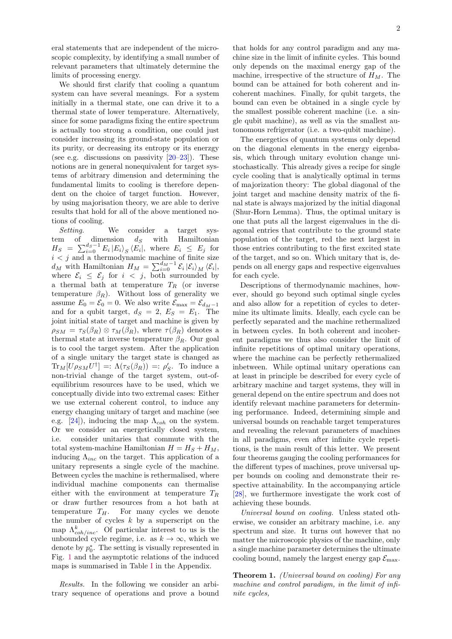eral statements that are independent of the microscopic complexity, by identifying a small number of relevant parameters that ultimately determine the limits of processing energy.

We should first clarify that cooling a quantum system can have several meanings. For a system initially in a thermal state, one can drive it to a thermal state of lower temperature. Alternatively, since for some paradigms fixing the entire spectrum is actually too strong a condition, one could just consider increasing its ground-state population or its purity, or decreasing its entropy or its enerzgy (see e.g. discussions on passivity  $[20-23]$  $[20-23]$ ). These notions are in general nonequivalent for target systems of arbitrary dimension and determining the fundamental limits to cooling is therefore dependent on the choice of target function. However, by using majorisation theory, we are able to derive results that hold for all of the above mentioned notions of cooling.

Setting. We consider a target system of dimension  $d_S$  with Hamiltonian  $H_S = \sum_{i=0}^{d_S-1} E_i |E_i\rangle_S \langle E_i|$ , where  $E_i \leq E_j$  for  $i < j$  and a thermodynamic machine of finite size  $d_M$  with Hamiltonian  $H_M = \sum_{i=0}^{d_M-1} \mathcal{E}_i |\mathcal{E}_i\rangle_M \langle \mathcal{E}_i|,$ where  $\mathcal{E}_i \leq \mathcal{E}_j$  for  $i < j$ , both surrounded by a thermal bath at temperature  $T_R$  (or inverse temperature  $\beta_R$ ). Without loss of generality we assume  $E_0 = \mathcal{E}_0 = 0$ . We also write  $\mathcal{E}_{\text{max}} = \mathcal{E}_{d_M-1}$ and for a qubit target,  $d_S = 2$ ,  $E_S = E_1$ . The joint initial state of target and machine is given by  $\rho_{SM} = \tau_S(\beta_R) \otimes \tau_M(\beta_R)$ , where  $\tau(\beta_R)$  denotes a thermal state at inverse temperature  $\beta_R$ . Our goal is to cool the target system. After the application of a single unitary the target state is changed as  $\text{Tr}_M[U\rho_{SM}U^{\dagger}] =: \Lambda(\tau_S(\beta_R)) =: \rho_S'.$  To induce a non-trivial change of the target system, out-ofequilibrium resources have to be used, which we conceptually divide into two extremal cases: Either we use external coherent control, to induce any energy changing unitary of target and machine (see e.g. [\[24\]](#page-5-4)), inducing the map  $\Lambda_{coh}$  on the system. Or we consider an energetically closed system, i.e. consider unitaries that commute with the total system-machine Hamiltonian  $H = H<sub>S</sub> + H<sub>M</sub>$ , inducing  $\Lambda_{inc}$  on the target. This application of a unitary represents a single cycle of the machine. Between cycles the machine is rethermalised, where individual machine components can thermalise either with the environment at temperature  $T_R$ or draw further resources from a hot bath at temperature  $T_H$ . For many cycles we denote the number of cycles  $k$  by a superscript on the map  $\Lambda_{coh/inc}^k$ . Of particular interest to us is the unbounded cycle regime, i.e. as  $k \to \infty$ , which we denote by  $p_0^*$ . The setting is visually represented in Fig. [1](#page-0-0) and the asymptotic relations of the induced maps is summarised in Table [I](#page-14-0) in the Appendix.

Results. In the following we consider an arbitrary sequence of operations and prove a bound

that holds for any control paradigm and any machine size in the limit of infinite cycles. This bound only depends on the maximal energy gap of the machine, irrespective of the structure of  $H_M$ . The bound can be attained for both coherent and incoherent machines. Finally, for qubit targets, the bound can even be obtained in a single cycle by the smallest possible coherent machine (i.e. a single qubit machine), as well as via the smallest autonomous refrigerator (i.e. a two-qubit machine).

The energetics of quantum systems only depend on the diagonal elements in the energy eigenbasis, which through unitary evolution change unistochastically. This already gives a recipe for single cycle cooling that is analytically optimal in terms of majorization theory: The global diagonal of the joint target and machine density matrix of the final state is always majorized by the initial diagonal (Shur-Horn Lemma). Thus, the optimal unitary is one that puts all the largest eigenvalues in the diagonal entries that contribute to the ground state population of the target, red the next largest in those entries contributing to the first excited state of the target, and so on. Which unitary that is, depends on all energy gaps and respective eigenvalues for each cycle.

Descriptions of thermodynamic machines, however, should go beyond such optimal single cycles and also allow for a repetition of cycles to determine its ultimate limits. Ideally, each cycle can be perfectly separated and the machine rethermalized in between cycles. In both coherent and incoherent paradigms we thus also consider the limit of infinite repetitions of optimal unitary operations, where the machine can be perfectly rethermalized inbetween. While optimal unitary operations can at least in principle be described for every cycle of arbitrary machine and target systems, they will in general depend on the entire spectrum and does not identify relevant machine parameters for determining performance. Indeed, determining simple and universal bounds on reachable target temperatures and revealing the relevant parameters of machines in all paradigms, even after infinite cycle repetitions, is the main result of this letter. We present four theorems gauging the cooling performances for the different types of machines, prove universal upper bounds on cooling and demonstrate their respective attainability. In the accompanying article [\[28\]](#page-5-5), we furthermore investigate the work cost of achieving these bounds.

Universal bound on cooling. Unless stated otherwise, we consider an arbitrary machine, i.e. any spectrum and size. It turns out however that no matter the microscopic physics of the machine, only a single machine parameter determines the ultimate cooling bound, namely the largest energy gap  $\mathcal{E}_{\text{max}}$ .

<span id="page-1-0"></span>Theorem 1. (Universal bound on cooling) For any machine and control paradigm, in the limit of infinite cycles,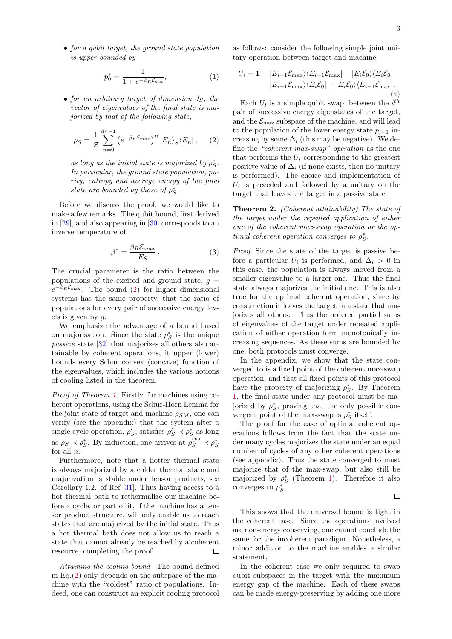• for a qubit target, the ground state population is upper bounded by

$$
p_0^* = \frac{1}{1 + e^{-\beta_R \mathcal{E}_{max}}},\tag{1}
$$

• for an arbitrary target of dimension  $d_S$ , the vector of eigenvalues of the final state is majorized by that of the following state,

$$
\rho_S^* = \frac{1}{Z} \sum_{n=0}^{d_S - 1} \left( e^{-\beta_R \mathcal{E}_{max}} \right)^n |E_n\rangle_S \langle E_n| \,, \qquad (2)
$$

as long as the initial state is majorized by  $\rho_S^*$ . In particular, the ground state population, purity, entropy and average energy of the final state are bounded by those of  $\rho_S^*$ .

Before we discuss the proof, we would like to make a few remarks. The qubit bound, first derived in [\[29\]](#page-5-6), and also appearing in [\[30\]](#page-5-7) corresponds to an inverse temperature of

<span id="page-2-1"></span>
$$
\beta^* = \frac{\beta_R \mathcal{E}_{max}}{E_S} \,. \tag{3}
$$

The crucial parameter is the ratio between the populations of the excited and ground state,  $q =$  $e^{-\beta_R \mathcal{E}_{\text{max}}}$ . The bound [\(2\)](#page-2-0) for higher dimensional systems has the same property, that the ratio of populations for every pair of successive energy levels is given by g.

We emphasize the advantage of a bound based on majorisation. Since the state  $\rho_S^*$  is the unique passive state [\[32\]](#page-5-8) that majorizes all others also attainable by coherent operations, it upper (lower) bounds every Schur convex (concave) function of the eigenvalues, which includes the various notions of cooling listed in the theorem.

Proof of Theorem [1.](#page-1-0) Firstly, for machines using coherent operations, using the Schur-Horn Lemma for the joint state of target and machine  $\rho_{SM}$ , one can verify (see the appendix) that the system after a single cycle operation,  $\rho'_S$ , satisfies  $\rho'_S \prec \rho_S^*$  as long as  $\rho_S \prec \rho_S^*$ . By induction, one arrives at  $\rho_S^{(n)} \prec \rho_S^*$ for all n.

Furthermore, note that a hotter thermal state is always majorized by a colder thermal state and majorization is stable under tensor products, see Corollary 1.2. of Ref [\[31\]](#page-5-9). Thus having access to a hot thermal bath to rethermalize our machine before a cycle, or part of it, if the machine has a tensor product structure, will only enable us to reach states that are majorized by the initial state. Thus a hot thermal bath does not allow us to reach a state that cannot already be reached by a coherent resource, completing the proof.  $\Box$ 

Attaining the cooling bound– The bound defined in Eq. $(2)$  only depends on the subspace of the machine with the "coldest" ratio of populations. Indeed, one can construct an explicit cooling protocol

as follows: consider the following simple joint unitary operation between target and machine,

$$
U_i = 1 - |E_{i-1} \mathcal{E}_{\text{max}} \rangle \langle E_{i-1} \mathcal{E}_{\text{max}}| - |E_i \mathcal{E}_0 \rangle \langle E_i \mathcal{E}_0| + |E_{i-1} \mathcal{E}_{\text{max}} \rangle \langle E_i \mathcal{E}_0| + |E_i \mathcal{E}_0 \rangle \langle E_{i-1} \mathcal{E}_{\text{max}}|.
$$
\n(4)

<span id="page-2-0"></span>Each  $U_i$  is a simple qubit swap, between the  $i^{th}$ pair of successive energy eigenstates of the target, and the  $\mathcal{E}_{\text{max}}$  subspace of the machine, and will lead to the population of the lower energy state  $p_{i-1}$  increasing by some  $\Delta_i$  (this may be negative). We define the "coherent max-swap" operation as the one that performs the  $U_i$  corresponding to the greatest positive value of  $\Delta_i$  (if none exists, then no unitary is performed). The choice and implementation of  $U_i$  is preceded and followed by a unitary on the target that leaves the target in a passive state.

<span id="page-2-2"></span>Theorem 2. (Coherent attainability) The state of the target under the repeated application of either one of the coherent max-swap operation or the optimal coherent operation converges to  $\rho_S^*$ .

Proof. Since the state of the target is passive before a particular  $U_i$  is performed, and  $\Delta_i > 0$  in this case, the population is always moved from a smaller eigenvalue to a larger one. Thus the final state always majorizes the initial one. This is also true for the optimal coherent operation, since by construction it leaves the target in a state that majorizes all others. Thus the ordered partial sums of eigenvalues of the target under repeated application of either operation form monotonically increasing sequences. As these sums are bounded by one, both protocols must converge.

In the appendix, we show that the state converged to is a fixed point of the coherent max-swap operation, and that all fixed points of this protocol have the property of majorizing  $\rho_S^*$ . By Theorem [1,](#page-1-0) the final state under any protocol must be majorized by  $\rho_S^*$ , proving that the only possible convergent point of the max-swap is  $\rho_S^*$  itself.

The proof for the case of optimal coherent operations follows from the fact that the state under many cycles majorizes the state under an equal number of cycles of any other coherent operations (see appendix). Thus the state converged to must majorize that of the max-swap, but also still be majorized by  $\rho_S^*$  (Theorem [1\)](#page-1-0). Therefore it also converges to  $\rho_S^*$ .

 $\Box$ 

This shows that the universal bound is tight in the coherent case. Since the operations involved are non-energy conserving, one cannot conclude the same for the incoherent paradigm. Nonetheless, a minor addition to the machine enables a similar statement.

In the coherent case we only required to swap qubit subspaces in the target with the maximum energy gap of the machine. Each of these swaps can be made energy-preserving by adding one more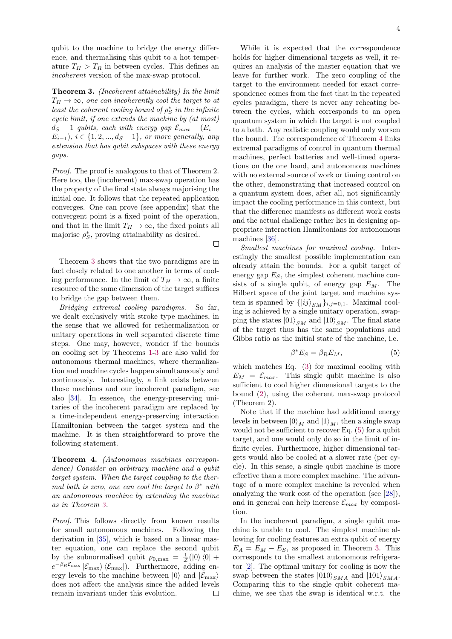qubit to the machine to bridge the energy difference, and thermalising this qubit to a hot temperature  $T_H > T_R$  in between cycles. This defines an incoherent version of the max-swap protocol.

<span id="page-3-0"></span>Theorem 3. (Incoherent attainability) In the limit  $T_H \rightarrow \infty$ , one can incoherently cool the target to at least the coherent cooling bound of  $\rho_S^*$  in the infinite cycle limit, if one extends the machine by (at most)  $d_S - 1$  qubits, each with energy gap  $\mathcal{E}_{max} - (E_i E_{i-1}$ ,  $i \in \{1, 2, ..., d_S - 1\}$ , or more generally, any extension that has qubit subspaces with these energy gaps.

Proof. The proof is analogous to that of Theorem 2. Here too, the (incoherent) max-swap operation has the property of the final state always majorising the initial one. It follows that the repeated application converges. One can prove (see appendix) that the convergent point is a fixed point of the operation, and that in the limit  $T_H \to \infty$ , the fixed points all majorise  $\rho_S^*$ , proving attainability as desired.

Theorem [3](#page-3-0) shows that the two paradigms are in fact closely related to one another in terms of cooling performance. In the limit of  $T_H \to \infty$ , a finite resource of the same dimension of the target suffices to bridge the gap between them.

Bridging extremal cooling paradigms. So far, we dealt exclusively with stroke type machines, in the sense that we allowed for rethermalization or unitary operations in well separated discrete time steps. One may, however, wonder if the bounds on cooling set by Theorems [1-](#page-1-0)[3](#page-3-0) are also valid for autonomous thermal machines, where thermalization and machine cycles happen simultaneously and continuously. Interestingly, a link exists between those machines and our incoherent paradigm, see also [\[34\]](#page-5-10). In essence, the energy-preserving unitaries of the incoherent paradigm are replaced by a time-independent energy-preserving interaction Hamiltonian between the target system and the machine. It is then straightforward to prove the following statement.

<span id="page-3-1"></span>Theorem 4. (Autonomous machines correspondence) Consider an arbitrary machine and a qubit target system. When the target coupling to the thermal bath is zero, one can cool the target to  $\beta^*$  with an autonomous machine by extending the machine as in Theorem [3.](#page-3-0)

Proof. This follows directly from known results for small autonomous machines. Following the derivation in [\[35\]](#page-5-11), which is based on a linear master equation, one can replace the second qubit by the subnormalised qubit  $\rho_{0,\text{max}} = \frac{1}{\mathcal{Z}}(|0\rangle\langle 0| +$  $e^{-\beta_R \mathcal{E}_{\text{max}}} |\mathcal{E}_{\text{max}}\rangle\langle \mathcal{E}_{\text{max}}|$ . Furthermore, adding energy levels to the machine between  $|0\rangle$  and  $|\mathcal{E}_{\text{max}}\rangle$ does not affect the analysis since the added levels remain invariant under this evolution.  $\Box$ 

While it is expected that the correspondence holds for higher dimensional targets as well, it requires an analysis of the master equation that we leave for further work. The zero coupling of the target to the environment needed for exact correspondence comes from the fact that in the repeated cycles paradigm, there is never any reheating between the cycles, which corresponds to an open quantum system in which the target is not coupled to a bath. Any realistic coupling would only worsen the bound. The correspondence of Theorem [4](#page-3-1) links extremal paradigms of control in quantum thermal machines, perfect batteries and well-timed operations on the one hand, and autonomous machines with no external source of work or timing control on the other, demonstrating that increased control on a quantum system does, after all, not significantly impact the cooling performance in this context, but that the difference manifests as different work costs and the actual challenge rather lies in designing appropriate interaction Hamiltonians for autonomous machines [\[36\]](#page-5-12).

Smallest machines for maximal cooling. Interestingly the smallest possible implementation can already attain the bounds. For a qubit target of energy gap  $E_S$ , the simplest coherent machine consists of a single qubit, of energy gap  $E_M$ . The Hilbert space of the joint target and machine system is spanned by  $\{|ij\rangle_{SM}\}_{i,j=0,1}$ . Maximal cooling is achieved by a single unitary operation, swapping the states  $|01\rangle_{SM}$  and  $|10\rangle_{SM}$ . The final state of the target thus has the same populations and Gibbs ratio as the initial state of the machine, i.e.

<span id="page-3-2"></span>
$$
\beta^* E_S = \beta_R E_M,\tag{5}
$$

which matches Eq. [\(3\)](#page-2-1) for maximal cooling with  $E_M = \mathcal{E}_{max}$ . This single qubit machine is also sufficient to cool higher dimensional targets to the bound [\(2\)](#page-2-0), using the coherent max-swap protocol (Theorem 2).

Note that if the machine had additional energy levels in between  $|0\rangle_M$  and  $|1\rangle_M$ , then a single swap would not be sufficient to recover Eq. [\(5\)](#page-3-2) for a qubit target, and one would only do so in the limit of infinite cycles. Furthermore, higher dimensional targets would also be cooled at a slower rate (per cycle). In this sense, a single qubit machine is more effective than a more complex machine. The advantage of a more complex machine is revealed when analyzing the work cost of the operation (see [\[28\]](#page-5-5)), and in general can help increase  $\mathcal{E}_{max}$  by composition.

In the incoherent paradigm, a single qubit machine is unable to cool. The simplest machine allowing for cooling features an extra qubit of energy  $E_A = E_M - E_S$ , as proposed in Theorem [3.](#page-3-0) This corresponds to the smallest autonomous refrigerator [\[2\]](#page-4-1). The optimal unitary for cooling is now the swap between the states  $|010\rangle_{SMA}$  and  $|101\rangle_{SMA}$ . Comparing this to the single qubit coherent machine, we see that the swap is identical w.r.t. the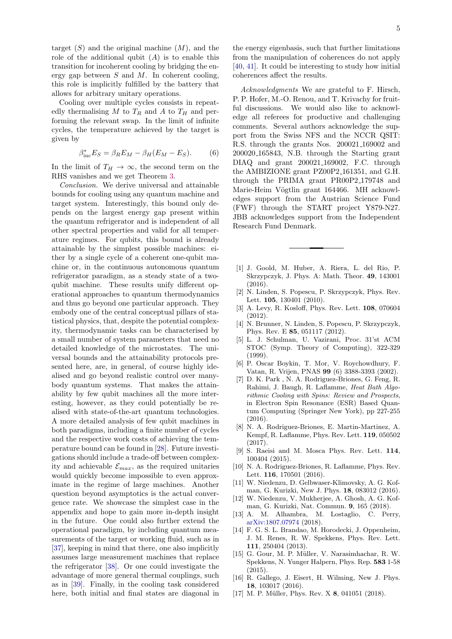target  $(S)$  and the original machine  $(M)$ , and the role of the additional qubit  $(A)$  is to enable this transition for incoherent cooling by bridging the energy gap between  $S$  and  $M$ . In coherent cooling, this role is implicitly fulfilled by the battery that allows for arbitrary unitary operations.

Cooling over multiple cycles consists in repeatedly thermalising  $M$  to  $T_R$  and  $A$  to  $T_H$  and performing the relevant swap. In the limit of infinite cycles, the temperature achieved by the target is given by

$$
\beta_{\rm inc}^* E_S = \beta_R E_M - \beta_H (E_M - E_S). \tag{6}
$$

In the limit of  $T_H \rightarrow \infty$ , the second term on the RHS vanishes and we get Theorem [3.](#page-3-0)

Conclusion. We derive universal and attainable bounds for cooling using any quantum machine and target system. Interestingly, this bound only depends on the largest energy gap present within the quantum refrigerator and is independent of all other spectral properties and valid for all temperature regimes. For qubits, this bound is already attainable by the simplest possible machines: either by a single cycle of a coherent one-qubit machine or, in the continuous autonomous quantum refrigerator paradigm, as a steady state of a twoqubit machine. These results unify different operational approaches to quantum thermodynamics and thus go beyond one particular approach. They embody one of the central conceptual pillars of statistical physics, that, despite the potential complexity, thermodynamic tasks can be characterised by a small number of system parameters that need no detailed knowledge of the microstates. The universal bounds and the attainability protocols presented here, are, in general, of course highly idealised and go beyond realistic control over manybody quantum systems. That makes the attainability by few qubit machines all the more interesting, however, as they could potentially be realised with state-of-the-art quantum technologies. A more detailed analysis of few qubit machines in both paradigms, including a finite number of cycles and the respective work costs of achieving the temperature bound can be found in [\[28\]](#page-5-5). Future investigations should include a trade-off between complexity and achievable  $\mathcal{E}_{max}$ , as the required unitaries would quickly become impossible to even approximate in the regime of large machines. Another question beyond asymptotics is the actual convergence rate. We showcase the simplest case in the appendix and hope to gain more in-depth insight in the future. One could also further extend the operational paradigm, by including quantum measurements of the target or working fluid, such as in [\[37\]](#page-5-13), keeping in mind that there, one also implicitly assumes large measurement machines that replace the refrigerator [\[38\]](#page-5-14). Or one could investigate the advantage of more general thermal couplings, such as in [\[39\]](#page-5-15). Finally, in the cooling task considered here, both initial and final states are diagonal in

5

Acknowledgments We are grateful to F. Hirsch, P. P. Hofer, M.-O. Renou, and T. Krivachy for fruitful discussions. We would also like to acknowledge all referees for productive and challenging comments. Several authors acknowledge the support from the Swiss NFS and the NCCR QSIT: R.S. through the grants Nos. 200021 169002 and 200020 165843, N.B. through the Starting grant DIAQ and grant 200021 169002, F.C. through the AMBIZIONE grant PZ00P2 161351, and G.H. through the PRIMA grant PR00P2 179748 and Marie-Heim Vögtlin grant 164466. MH acknowledges support from the Austrian Science Fund (FWF) through the START project Y879-N27. JBB acknowledges support from the Independent Research Fund Denmark.

from the manipulation of coherences do not apply [\[40,](#page-5-16) [41\]](#page-5-17). It could be interesting to study how initial

coherences affect the results.

- <span id="page-4-0"></span>[1] J. Goold, M. Huber, A. Riera, L. del Rio, P. Skrzypczyk, J. Phys. A: Math. Theor. 49, 143001 (2016).
- <span id="page-4-1"></span>[2] N. Linden, S. Popescu, P. Skrzypczyk, Phys. Rev. Lett. 105, 130401 (2010).
- [3] A. Levy, R. Kosloff, Phys. Rev. Lett. 108, 070604 (2012).
- <span id="page-4-2"></span>[4] N. Brunner, N. Linden, S. Popescu, P. Skrzypczyk, Phys. Rev. E 85, 051117 (2012).
- <span id="page-4-3"></span>[5] L. J. Schulman, U. Vazirani, Proc. 31'st ACM STOC (Symp. Theory of Computing), 322-329  $(1999)$ .
- [6] P. Oscar Boykin, T. Mor, V. Roychowdhury, F. Vatan, R. Vrijen, PNAS 99 (6) 3388-3393 (2002).
- [7] D. K. Park , N. A. Rodriguez-Briones, G. Feng, R. Rahimi, J. Baugh, R. Laflamme, Heat Bath Algorithmic Cooling with Spins: Review and Prospects, in Electron Spin Resonance (ESR) Based Quantum Computing (Springer New York), pp 227-255 (2016).
- [8] N. A. Rodriguez-Briones, E. Martin-Martinez, A. Kempf, R. Laflamme, Phys. Rev. Lett. 119, 050502 (2017).
- [9] S. Raeisi and M. Mosca Phys. Rev. Lett. 114, 100404 (2015).
- <span id="page-4-4"></span>[10] N. A. Rodriguez-Briones, R. Laflamme, Phys. Rev. Lett. 116, 170501 (2016).
- <span id="page-4-5"></span>[11] W. Niedenzu, D. Gelbwaser-Klimovsky, A. G. Kofman, G. Kurizki, New J. Phys. 18, 083012 (2016).
- <span id="page-4-6"></span>[12] W. Niedenzu, V. Mukherjee, A. Ghosh, A. G. Kofman, G. Kurizki, Nat. Commun. 9, 165 (2018).
- <span id="page-4-7"></span>[13] A. M. Alhambra, M. Lostaglio, C. Perry, [arXiv:1807.07974](http://arxiv.org/abs/1807.07974) (2018).
- <span id="page-4-8"></span>[14] F. G. S. L. Brandao, M. Horodecki, J. Oppenheim, J. M. Renes, R. W. Spekkens, Phys. Rev. Lett. 111, 250404 (2013).
- <span id="page-4-10"></span>[15] G. Gour, M. P. Müller, V. Narasimhachar, R. W. Spekkens, N. Yunger Halpern, Phys. Rep. 583 1-58 (2015).
- [16] R. Gallego, J. Eisert, H. Wilming, New J. Phys. 18, 103017 (2016).
- <span id="page-4-9"></span>[17] M. P. Müller, Phys. Rev. X 8, 041051 (2018).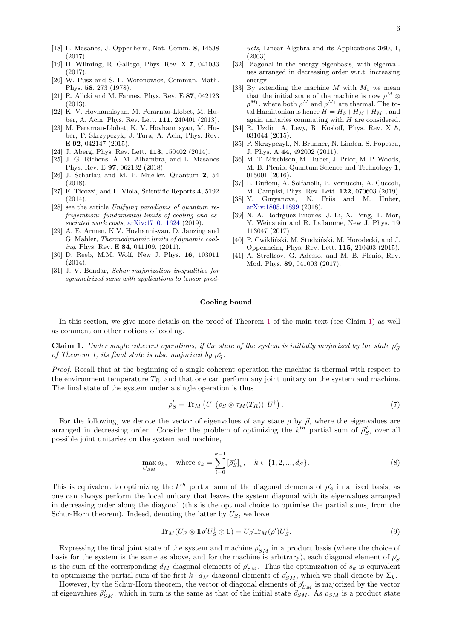- <span id="page-5-0"></span>[18] L. Masanes, J. Oppenheim, Nat. Comm. 8, 14538 (2017).
- <span id="page-5-1"></span>[19] H. Wilming, R. Gallego, Phys. Rev. X 7, 041033 (2017).
- <span id="page-5-2"></span>[20] W. Pusz and S. L. Woronowicz, Commun. Math. Phys. 58, 273 (1978).
- [21] R. Alicki and M. Fannes, Phys. Rev. E 87, 042123 (2013).
- [22] K. V. Hovhannisyan, M. Perarnau-Llobet, M. Huber, A. Acin, Phys. Rev. Lett. 111, 240401 (2013).
- <span id="page-5-3"></span>[23] M. Perarnau-Llobet, K. V. Hovhannisyan, M. Huber, P. Skrzypczyk, J. Tura, A. Acin, Phys. Rev. E 92, 042147 (2015).
- <span id="page-5-4"></span>[24] J. Aberg. Phys. Rev. Lett. **113**, 150402 (2014).
- <span id="page-5-19"></span>[25] J. G. Richens, A. M. Alhambra, and L. Masanes Phys. Rev. E 97, 062132 (2018).
- <span id="page-5-20"></span>[26] J. Scharlau and M. P. Mueller, Quantum 2, 54 (2018).
- <span id="page-5-21"></span>[27] F. Ticozzi, and L. Viola, Scientific Reports 4, 5192  $(2014).$
- <span id="page-5-5"></span>[28] see the article Unifying paradigms of quantum refrigeration: fundamental limits of cooling and associated work costs, [arXiv:1710.11624](http://arxiv.org/abs/1710.11624) (2019).
- <span id="page-5-6"></span>[29] A. E. Armen, K.V. Hovhannisyan, D. Janzing and G. Mahler, Thermodynamic limits of dynamic cooling, Phys. Rev. E  $84, 041109, (2011)$ .
- <span id="page-5-7"></span>[30] D. Reeb, M.M. Wolf, New J. Phys. 16, 103011 (2014).
- <span id="page-5-9"></span>[31] J. V. Bondar, Schur majorization inequalities for symmetrized sums with applications to tensor prod-

ucts, Linear Algebra and its Applications 360, 1, (2003).

- <span id="page-5-8"></span>[32] Diagonal in the energy eigenbasis, with eigenvalues arranged in decreasing order w.r.t. increasing energy
- [33] By extending the machine M with  $M_1$  we mean that the initial state of the machine is now  $\rho^M$   $\otimes$  $\rho^{M_1}$ , where both  $\rho^M$  and  $\rho^{M_1}$  are thermal. The total Hamiltonian is hence  $H = H_S + H_M + H_{M_1}$ , and again unitaries commuting with  $H$  are considered.
- <span id="page-5-10"></span>[34] R. Uzdin, A. Levy, R. Kosloff, Phys. Rev. X 5, 031044 (2015).
- <span id="page-5-11"></span>[35] P. Skrzypczyk, N. Brunner, N. Linden, S. Popescu, J. Phys. A 44, 492002 (2011).
- <span id="page-5-12"></span>[36] M. T. Mitchison, M. Huber, J. Prior, M. P. Woods, M. B. Plenio, Quantum Science and Technology 1, 015001 (2016).
- <span id="page-5-13"></span>[37] L. Buffoni, A. Solfanelli, P. Verrucchi, A. Cuccoli, M. Campisi, Phys. Rev. Lett. 122, 070603 (2019).
- <span id="page-5-14"></span>[38] Y. Guryanova, N. Friis and M. Huber, [arXiv:1805.11899](http://arxiv.org/abs/1805.11899) (2018).
- <span id="page-5-15"></span>[39] N. A. Rodrguez-Briones, J. Li, X. Peng, T. Mor, Y. Weinstein and R. Laflamme, New J. Phys. 19 113047 (2017)
- <span id="page-5-16"></span>[40] P. Ćwikliński, M. Studziński, M. Horodecki, and J. Oppenheim, Phys. Rev. Lett. 115, 210403 (2015).
- <span id="page-5-17"></span>[41] A. Streltsov, G. Adesso, and M. B. Plenio, Rev. Mod. Phys. 89, 041003 (2017).

## Cooling bound

In this section, we give more details on the proof of Theorem [1](#page-1-0) of the main text (see Claim [1\)](#page-5-18) as well as comment on other notions of cooling.

<span id="page-5-18"></span>**Claim 1.** Under single coherent operations, if the state of the system is initially majorized by the state  $\rho_S^*$ of Theorem 1, its final state is also majorized by  $\rho_S^*$ .

Proof. Recall that at the beginning of a single coherent operation the machine is thermal with respect to the environment temperature  $T_R$ , and that one can perform any joint unitary on the system and machine. The final state of the system under a single operation is thus

$$
\rho_S' = \text{Tr}_M \left( U \left( \rho_S \otimes \tau_M(T_R) \right) U^{\dagger} \right). \tag{7}
$$

For the following, we denote the vector of eigenvalues of any state  $\rho$  by  $\vec{\rho}$ , where the eigenvalues are arranged in decreasing order. Consider the problem of optimizing the  $k^{th}$  partial sum of  $\vec{\rho}'_S$ , over all possible joint unitaries on the system and machine,

$$
\max_{U_{SM}} s_k, \quad \text{where } s_k = \sum_{i=0}^{k-1} [\vec{\rho}'_S]_i, \quad k \in \{1, 2, ..., d_S\}.
$$
 (8)

This is equivalent to optimizing the  $k^{th}$  partial sum of the diagonal elements of  $\rho'_{S}$  in a fixed basis, as one can always perform the local unitary that leaves the system diagonal with its eigenvalues arranged in decreasing order along the diagonal (this is the optimal choice to optimise the partial sums, from the Schur-Horn theorem). Indeed, denoting the latter by  $U<sub>S</sub>$ , we have

$$
\operatorname{Tr}_{M}(U_{S} \otimes 1 \rho' U_{S}^{\dagger} \otimes 1) = U_{S} \operatorname{Tr}_{M}(\rho') U_{S}^{\dagger}.
$$
\n(9)

Expressing the final joint state of the system and machine  $\rho'_{SM}$  in a product basis (where the choice of basis for the system is the same as above, and for the machine is arbitrary), each diagonal element of  $\rho'_{\rm S}$ is the sum of the corresponding  $d_M$  diagonal elements of  $\rho'_{SM}$ . Thus the optimization of  $s_k$  is equivalent to optimizing the partial sum of the first  $k \cdot d_M$  diagonal elements of  $\rho'_{SM}$ , which we shall denote by  $\Sigma_k$ .

However, by the Schur-Horn theorem, the vector of diagonal elements of  $\rho'_{SM}$  is majorized by the vector of eigenvalues  $\vec{\rho}_{SM}^{\prime}$ , which in turn is the same as that of the initial state  $\vec{\rho}_{SM}$ . As  $\rho_{SM}$  is a product state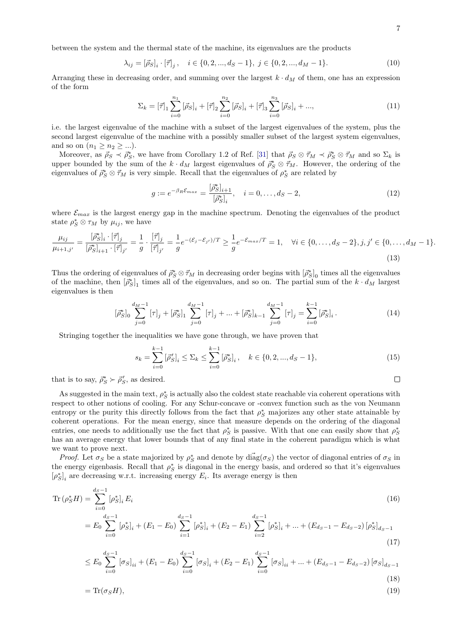between the system and the thermal state of the machine, its eigenvalues are the products

$$
\lambda_{ij} = [\vec{\rho}_S]_i \cdot [\vec{\tau}]_j, \quad i \in \{0, 2, ..., d_S - 1\}, \ j \in \{0, 2, ..., d_M - 1\}.
$$
 (10)

Arranging these in decreasing order, and summing over the largest  $k \cdot d_M$  of them, one has an expression of the form

$$
\Sigma_k = [\vec{\tau}]_1 \sum_{i=0}^{n_1} [\vec{\rho}_S]_i + [\vec{\tau}]_2 \sum_{i=0}^{n_2} [\vec{\rho}_S]_i + [\vec{\tau}]_3 \sum_{i=0}^{n_3} [\vec{\rho}_S]_i + ..., \tag{11}
$$

i.e. the largest eigenvalue of the machine with a subset of the largest eigenvalues of the system, plus the second largest eigenvalue of the machine with a possibly smaller subset of the largest system eigenvalues, and so on  $(n_1 \geq n_2 \geq ...)$ .

Moreover, as  $\vec{\rho}_S \prec \vec{\rho}_S^*$ , we have from Corollary 1.2 of Ref. [\[31\]](#page-5-9) that  $\vec{\rho}_S \otimes \vec{\tau}_M \prec \vec{\rho}_S^* \otimes \vec{\tau}_M$  and so  $\Sigma_k$  is upper bounded by the sum of the  $k \cdot d_M$  largest eigenvalues of  $\vec{\rho}_S^* \otimes \vec{\tau}_M$ . However, the ordering of the eigenvalues of  $\rho_S^* \otimes \vec{\tau}_M$  is very simple. Recall that the eigenvalues of  $\rho_S^*$  are related by

$$
g := e^{-\beta_R \mathcal{E}_{max}} = \frac{[\bar{\rho}_S^*]_{i+1}}{[\bar{\rho}_S^*]_i}, \quad i = 0, \dots, d_S - 2,
$$
\n(12)

where  $\mathcal{E}_{max}$  is the largest energy gap in the machine spectrum. Denoting the eigenvalues of the product state  $\rho_S^* \otimes \tau_M$  by  $\mu_{ij}$ , we have

$$
\frac{\mu_{ij}}{\mu_{i+1,j'}} = \frac{[\bar{\rho}_{S}^*]_i \cdot [\bar{\tau}]_j}{[\bar{\rho}_{S}^*]_{i+1} \cdot [\bar{\tau}]_{j'}} = \frac{1}{g} \cdot \frac{[\bar{\tau}]_j}{[\bar{\tau}]_{j'}} = \frac{1}{g} e^{-(\mathcal{E}_j - \mathcal{E}_{j'})/T} \ge \frac{1}{g} e^{-\mathcal{E}_{max}/T} = 1, \quad \forall i \in \{0, \dots, d_S - 2\}, j, j' \in \{0, \dots, d_M - 1\}.
$$
\n(13)

Thus the ordering of eigenvalues of  $\vec{\rho}_S^* \otimes \vec{\tau}_M$  in decreasing order begins with  $[\vec{\rho}_S^*]_0$  times all the eigenvalues of the machine, then  $[\bar{\rho}_{S}^{*}]_1$  times all of the eigenvalues, and so on. The partial sum of the  $k \cdot d_M$  largest eigenvalues is then

$$
[\vec{\rho}_S^*]_0 \sum_{j=0}^{d_M-1} [\tau]_j + [\vec{\rho}_S^*]_1 \sum_{j=0}^{d_M-1} [\tau]_j + \dots + [\vec{\rho}_S^*]_{k-1} \sum_{j=0}^{d_M-1} [\tau]_j = \sum_{i=0}^{k-1} [\vec{\rho}_S^*]_i.
$$
 (14)

Stringing together the inequalities we have gone through, we have proven that

$$
s_k = \sum_{i=0}^{k-1} [\vec{\rho}'_S]_i \le \sum_k \le \sum_{i=0}^{k-1} [\vec{\rho}^*_{S}]_i, \quad k \in \{0, 2, ..., d_S - 1\},\tag{15}
$$

that is to say,  $\vec{\rho}_{S}^* \succ \vec{\rho}'_{S}$ , as desired.

As suggested in the main text,  $\rho_S^*$  is actually also the coldest state reachable via coherent operations with respect to other notions of cooling. For any Schur-concave or -convex function such as the von Neumann entropy or the purity this directly follows from the fact that  $\rho_S^*$  majorizes any other state attainable by coherent operations. For the mean energy, since that measure depends on the ordering of the diagonal entries, one needs to additionally use the fact that  $\rho_S^*$  is passive. With that one can easily show that  $\rho_S^*$ has an average energy that lower bounds that of any final state in the coherent paradigm which is what we want to prove next.

Proof. Let  $\sigma_S$  be a state majorized by  $\rho_S^*$  and denote by  $\tilde{\text{diag}}(\sigma_S)$  the vector of diagonal entries of  $\sigma_S$  in the energy eigenbasis. Recall that  $\rho_S^*$  is diagonal in the energy basis, and ordered so that it's eigenvalues  $[\rho_{S}^{*}]_{i}$  are decreasing w.r.t. increasing energy  $E_{i}$ . Its average energy is then

$$
\operatorname{Tr}\left(\rho_{S}^{*}H\right) = \sum_{i=0}^{d_{S}-1} \left[\rho_{S}^{*}\right]_{i} E_{i}
$$
\n
$$
d_{S}-1 \qquad \qquad d_{S}-1 \qquad \qquad d_{S}-1 \qquad \qquad d_{S}-1 \qquad \qquad d_{S}-1 \qquad \qquad d_{S}-1 \qquad \qquad d_{S}-1 \qquad \qquad d_{S}-1 \qquad \qquad d_{S}-1 \qquad \qquad d_{S}-1 \qquad \qquad d_{S}-1 \qquad \qquad d_{S}-1 \qquad \qquad d_{S}-1 \qquad \qquad d_{S}-1 \qquad \qquad d_{S}-1 \qquad \qquad d_{S}-1 \qquad \qquad d_{S}-1 \qquad \qquad d_{S}-1 \qquad \qquad d_{S}-1 \qquad \qquad d_{S}-1 \qquad \qquad d_{S}-1 \qquad \qquad d_{S}-1 \qquad \qquad d_{S}-1 \qquad \qquad d_{S}-1 \qquad \qquad d_{S}-1 \qquad \qquad d_{S}-1 \qquad \qquad d_{S}-1 \qquad \qquad d_{S}-1 \qquad \qquad d_{S}-1 \qquad \qquad d_{S}-1 \qquad \qquad d_{S}-1 \qquad \qquad d_{S}-1 \qquad \qquad d_{S}-1 \qquad \qquad d_{S}-1 \qquad \qquad d_{S}-1 \qquad \qquad d_{S}-1 \qquad \qquad d_{S}-1 \qquad \qquad d_{S}-1 \qquad \qquad d_{S}-1 \qquad \qquad d_{S}-1 \qquad \qquad d_{S}-1 \qquad \qquad d_{S}-1 \qquad \qquad d_{S}-1 \qquad \qquad d_{S}-1 \qquad \qquad d_{S}-1 \qquad \qquad d_{S}-1 \qquad \qquad d_{S}-1 \qquad \qquad d_{S}-1 \qquad \qquad d_{S}-1 \qquad \qquad d_{S}-1 \qquad \qquad d_{S}-1 \qquad \qquad d_{S}-1 \qquad \qquad d_{S}-1 \qquad \qquad d_{S}-1 \qquad \qquad d_{S}-1 \qquad \qquad d_{S}-1 \qquad \qquad d_{S}-1 \qquad \qquad d_{S}-1 \qquad \qquad d_{S}-1 \qquad \qquad d_{S}-1 \qquad \qquad d_{S}-1 \qquad \qquad d_{S}-1 \qquad \qquad d_{S}-1 \qquad \qquad d_{S}-1
$$

$$
= E_0 \sum_{i=0}^{d_S-1} [\rho_S^*]_i + (E_1 - E_0) \sum_{i=1}^{d_S-1} [\rho_S^*]_i + (E_2 - E_1) \sum_{i=2}^{d_S-1} [\rho_S^*]_i + \dots + (E_{d_S-1} - E_{d_S-2}) [\rho_S^*]_{d_S-1}
$$
\n(17)

$$
\leq E_0 \sum_{i=0}^{d_S-1} [\sigma_S]_{ii} + (E_1 - E_0) \sum_{i=0}^{d_S-1} [\sigma_S]_i + (E_2 - E_1) \sum_{i=0}^{d_S-1} [\sigma_S]_{ii} + \dots + (E_{d_S-1} - E_{d_S-2}) [\sigma_S]_{d_S-1}
$$
\n(18)

<span id="page-6-0"></span>
$$
= \text{Tr}(\sigma_S H),\tag{19}
$$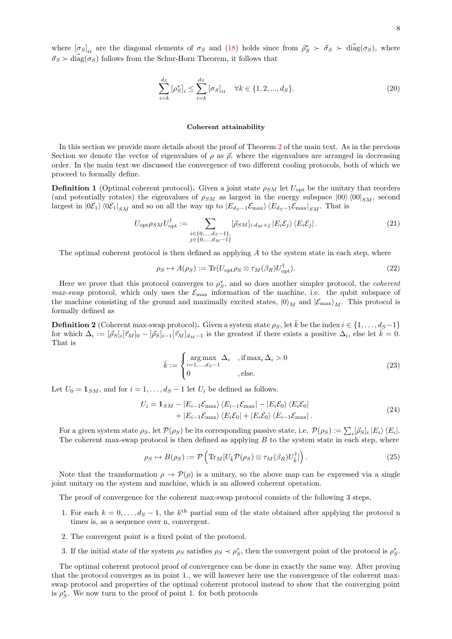where  $[\sigma_S]_{ii}$  are the diagonal elements of  $\sigma_S$  and [\(18\)](#page-6-0) holds since from  $\bar{\rho}_S^* \succ \bar{\sigma}_S \succ \text{diag}(\sigma_S)$ , where  $\vec{\sigma}_S \succ \text{diag}(\sigma_S)$  follows from the Schur-Horn Theorem, it follows that

$$
\sum_{i=k}^{d_S} [\rho_S^*]_i \le \sum_{i=k}^{d_S} [\sigma_S]_{ii} \quad \forall k \in \{1, 2, ..., d_S\}.
$$
 (20)

#### Coherent attainability

In this section we provide more details about the proof of Theorem [2](#page-2-2) of the main text. As in the previous Section we denote the vector of eigenvalues of  $\rho$  as  $\vec{\rho}$ , where the eigenvalues are arranged in decreasing order. In the main text we discussed the convergence of two different cooling protocols, both of which we proceed to formally define.

**Definition 1** (Optimal coherent protocol). Given a joint state  $\rho_{SM}$  let  $U_{\text{opt}}$  be the unitary that reorders (and potentially rotates) the eigenvalues of  $\rho_{SM}$  as largest in the energy subspace  $|00\rangle\langle00|_{SM}$ , second largest in  $|0E_1\rangle \langle 0E_1|_{SM}$  and so on all the way up to  $|E_{ds-1}\mathcal{E}_{\text{max}}\rangle \langle E_{ds-1}\mathcal{E}_{\text{max}}|_{SM}$ . That is

<span id="page-7-0"></span>
$$
U_{\text{opt}}\rho_{SM}U_{\text{opt}}^{\dagger} := \sum_{\substack{i \in \{0,\dots,d_{S}-1\},\\j \in \{0,\dots,d_{M}-1\}}} [\vec{\rho}_{SM}]_{i \cdot d_{M}+j} |E_{i}\mathcal{E}_{j}\rangle \langle E_{i}\mathcal{E}_{j}|.
$$
\n(21)

The optimal coherent protocol is then defined as applying  $A$  to the system state in each step, where

$$
\rho_S \mapsto A(\rho_S) := \text{Tr}(U_{\text{opt}} \rho_S \otimes \tau_M(\beta_R) U_{\text{opt}}^\dagger). \tag{22}
$$

Here we prove that this protocol converges to  $\rho_S^*$ , and so does another simpler protocol, the *coherent* max-swap protocol, which only uses the  $\mathcal{E}_{\text{max}}$  information of the machine, i.e. the qubit subspace of the machine consisting of the ground and maximally excited states,  $|0\rangle_M$  and  $|\mathcal{E}_{\text{max}}\rangle_M$ . This protocol is formally defined as

**Definition 2** (Coherent max-swap protocol). Given a system state  $\rho_S$ , let  $\bar{k}$  be the index  $i \in \{1, ..., d_S-1\}$ for which  $\Delta_i := [\vec{\rho}_S]_i [\vec{\tau}_M]_0 - [\vec{\rho}_S]_{i-1} [\vec{\tau}_M]_{d_M-1}$  is the greatest if there exists a positive  $\Delta_i$ , else let  $\bar{k} = 0$ . That is

$$
\bar{k} := \begin{cases}\n\arg \max_{i=1,\dots,d_S-1} \Delta_i, & \text{if } \max_i \Delta_i > 0 \\
0, & \text{else.}\n\end{cases} \tag{23}
$$

Let  $U_0 = \mathbb{1}_{SM}$ , and for  $i = 1, \ldots, d_S - 1$  let  $U_i$  be defined as follows.

$$
U_i = 1\!\!1_{SM} - |E_{i-1}\mathcal{E}_{\text{max}}\rangle \langle E_{i-1}\mathcal{E}_{\text{max}}| - |E_i\mathcal{E}_0\rangle \langle E_i\mathcal{E}_0|
$$
  
+ |E\_{i-1}\mathcal{E}\_{\text{max}}\rangle \langle E\_i\mathcal{E}\_0| + |E\_i\mathcal{E}\_0\rangle \langle E\_{i-1}\mathcal{E}\_{\text{max}}|. (24)

For a given system state  $\rho_S$ , let  $\mathcal{P}(\rho_S)$  be its corresponding passive state, i.e.  $\mathcal{P}(\rho_S) := \sum_i [\vec{\rho}_S]_i |E_i\rangle \langle E_i|$ . The coherent max-swap protocol is then defined as applying  $B$  to the system state in each step, where

$$
\rho_S \mapsto B(\rho_S) := \mathcal{P}\left( \text{Tr}_M[U_{\bar{k}} \mathcal{P}(\rho_S) \otimes \tau_M(\beta_R) U_{\bar{k}}^{\dagger}] \right). \tag{25}
$$

Note that the transformation  $\rho \to \mathcal{P}(\rho)$  is a unitary, so the above map can be expressed via a single joint unitary on the system and machine, which is an allowed coherent operation.

The proof of convergence for the coherent max-swap protocol consists of the following 3 steps,

- 1. For each  $k = 0, \ldots, d_s 1$ , the  $k^{\text{th}}$  partial sum of the state obtained after applying the protocol n times is, as a sequence over n, convergent.
- 2. The convergent point is a fixed point of the protocol.
- 3. If the initial state of the system  $\rho_S$  satisfies  $\rho_S \prec \rho_S^*$ , then the convergent point of the protocol is  $\rho_S^*$ .

The optimal coherent protocol proof of convergence can be done in exactly the same way. After proving that the protocol converges as in point 1., we will however here use the convergence of the coherent maxswap protocol and properties of the optimal coherent protocol instead to show that the converging point is  $\rho_S^*$ . We now turn to the proof of point 1. for both protocols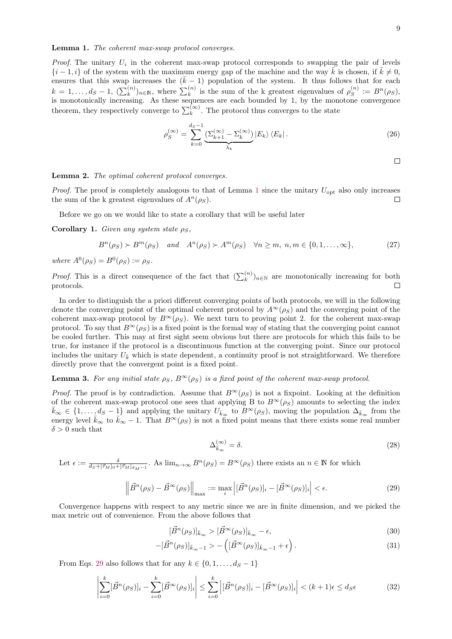### <span id="page-8-0"></span>Lemma 1. The coherent max-swap protocol converges.

*Proof.* The unitary  $U_i$  in the coherent max-swap protocol corresponds to swapping the pair of levels  ${i-1,i}$  of the system with the maximum energy gap of the machine and the way  $\bar{k}$  is chosen, if  $\bar{k} \neq 0$ , ensures that this swap increases the  $(\bar{k} - 1)$  population of the system. It thus follows that for each  $k = 1, \ldots, d_S - 1$ ,  $(\sum_{k}^{(n)})_{n \in \mathbb{N}}$ , where  $\sum_{k}^{(n)}$  is the sum of the k greatest eigenvalues of  $\rho_S^{(n)}$  $S^{(n)}_S := B^n(\rho_S),$ is monotonically increasing. As these sequences are each bounded by 1, by the monotone convergence theorem, they respectively converge to  $\sum_{k}^{(\infty)}$ . The protocol thus converges to the state

$$
\rho_S^{(\infty)} = \sum_{k=0}^{d_S - 1} \underbrace{\left(\sum_{k+1}^{(\infty)} - \sum_k^{(\infty)}\right)}_{\lambda_k} |E_k\rangle \langle E_k| \,. \tag{26}
$$

 $\Box$ 

#### <span id="page-8-6"></span>Lemma 2. The optimal coherent protocol converges.

*Proof.* The proof is completely analogous to that of Lemma [1](#page-8-0) since the unitary  $U_{\text{opt}}$  also only increases the sum of the k greatest eigenvalues of  $A^n(\rho_S)$ . П

Before we go on we would like to state a corollary that will be useful later

<span id="page-8-4"></span>Corollary 1. Given any system state  $\rho_S$ ,

$$
B^{n}(\rho_S) \succ B^{m}(\rho_S) \quad \text{and} \quad A^{n}(\rho_S) \succ A^{m}(\rho_S) \quad \forall n \ge m, \ n, m \in \{0, 1, \dots, \infty\},\tag{27}
$$

where  $A^0(\rho_S) = B^0(\rho_S) := \rho_S$ .

*Proof.* This is a direct consequence of the fact that  $(\sum_{k}^{(n)})_{n\in\mathbb{N}}$  are monotonically increasing for both protocols.

In order to distinguish the a priori different converging points of both protocols, we will in the following denote the converging point of the optimal coherent protocol by  $A^{\infty}(\rho_S)$  and the converging point of the coherent max-swap protocol by  $B^{\infty}(\rho_S)$ . We next turn to proving point 2. for the coherent max-swap protocol. To say that  $B^{\infty}(\rho_S)$  is a fixed point is the formal way of stating that the converging point cannot be cooled further. This may at first sight seem obvious but there are protocols for which this fails to be true, for instance if the protocol is a discontinuous function at the converging point. Since our protocol includes the unitary  $U_{\bar{k}}$  which is state dependent, a continuity proof is not straightforward. We therefore directly prove that the convergent point is a fixed point.

## <span id="page-8-5"></span>**Lemma 3.** For any initial state  $\rho_S$ ,  $B^{\infty}(\rho_S)$  is a fixed point of the coherent max-swap protocol.

*Proof.* The proof is by contradiction. Assume that  $B^{\infty}(\rho_S)$  is not a fixpoint. Looking at the definition of the coherent max-swap protocol one sees that applying B to  $B^{\infty}(\rho_S)$  amounts to selecting the index  $\bar{k}_{\infty} \in \{1, \ldots, d_S - 1\}$  and applying the unitary  $U_{\bar{k}_{\infty}}$  to  $B^{\infty}(\rho_S)$ , moving the population  $\Delta_{\bar{k}_{\infty}}$  from the energy level  $\bar{k}_{\infty}$  to  $\bar{k}_{\infty} - 1$ . That  $B^{\infty}(\rho_S)$  is not a fixed point means that there exists some real number  $\delta > 0$  such that

<span id="page-8-3"></span><span id="page-8-2"></span>
$$
\Delta_{\bar{k}_{\infty}}^{(\infty)} = \delta. \tag{28}
$$

Let 
$$
\epsilon := \frac{\delta}{d_S + [\vec{\tau}_M]_0 + [\vec{\tau}_M]_{d_M - 1}}
$$
. As  $\lim_{n \to \infty} B^n(\rho_S) = B^\infty(\rho_S)$  there exists an  $n \in \mathbb{N}$  for which

<span id="page-8-1"></span>
$$
\left\| \vec{B}^n(\rho_S) - \vec{B}^\infty(\rho_S) \right\|_{\text{max}} := \max_i \left| [\vec{B}^n(\rho_S)]_i - [\vec{B}^\infty(\rho_S)]_i \right| < \epsilon. \tag{29}
$$

Convergence happens with respect to any metric since we are in finite dimension, and we picked the max metric out of convenience. From the above follows that

$$
[\vec{B}^n(\rho_S)]_{\bar{k}_{\infty}} > [\vec{B}^{\infty}(\rho_S)]_{\bar{k}_{\infty}} - \epsilon,
$$
\n(30)

$$
-[\vec{B}^n(\rho_S)]_{\bar{k}_{\infty}-1} > -\left([\vec{B}^{\infty}(\rho_S)]_{\bar{k}_{\infty}-1} + \epsilon\right).
$$
\n(31)

From Eqs. [29](#page-8-1) also follows that for any  $k \in \{0, 1, \ldots, d_S - 1\}$ 

$$
\left|\sum_{i=0}^k [\vec{B}^n(\rho_S)]_i - \sum_{i=0}^k [\vec{B}^\infty(\rho_S)]_i\right| \le \sum_{i=0}^k \left| [\vec{B}^n(\rho_S)]_i - [\vec{B}^\infty(\rho_S)]_i \right| < (k+1)\epsilon \le d_S \epsilon \tag{32}
$$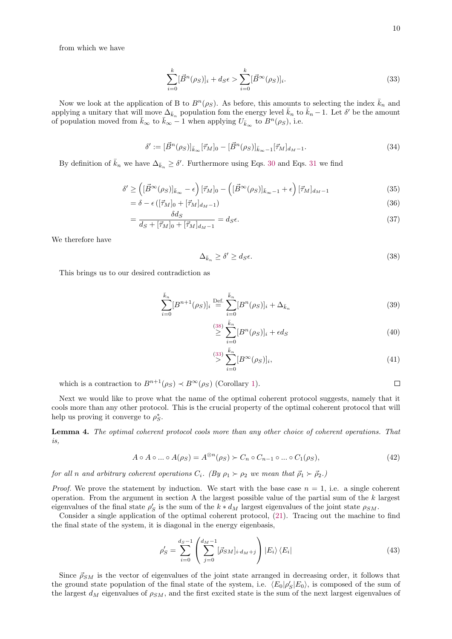from which we have

<span id="page-9-1"></span>
$$
\sum_{i=0}^{k} [\vec{B}^n(\rho_S)]_i + d_S \epsilon > \sum_{i=0}^{k} [\vec{B}^\infty(\rho_S)]_i.
$$
\n(33)

Now we look at the application of B to  $B<sup>n</sup>(\rho_S)$ . As before, this amounts to selecting the index  $\bar{k}_n$  and applying a unitary that will move  $\Delta_{\bar{k}_n}$  population fom the energy level  $\bar{k}_n$  to  $\bar{k}_n - 1$ . Let  $\delta'$  be the amount of population moved from  $\bar{k}_{\infty}$  to  $\bar{k}_{\infty} - 1$  when applying  $U_{\bar{k}_{\infty}}$  to  $B^{n}(\rho_S)$ , i.e.

$$
\delta' := [\vec{B}^n(\rho_S)]_{\bar{k}_{\infty}} [\vec{\tau}_M]_0 - [\vec{B}^n(\rho_S)]_{\bar{k}_{\infty}-1} [\vec{\tau}_M]_{d_M - 1}.
$$
\n(34)

By definition of  $\bar{k}_n$  we have  $\Delta_{\bar{k}_n} \ge \delta'$ . Furthermore using Eqs. [30](#page-8-2) and Eqs. [31](#page-8-3) we find

$$
\delta' \ge \left( [\vec{B}^{\infty}(\rho_S)]_{\bar{k}_{\infty}} - \epsilon \right) [\vec{\tau}_M]_0 - \left( [\vec{B}^{\infty}(\rho_S)]_{\bar{k}_{\infty}-1} + \epsilon \right) [\vec{\tau}_M]_{d_M - 1} \tag{35}
$$

$$
= \delta - \epsilon \left( [\vec{\tau}_M]_0 + [\vec{\tau}_M]_{d_M - 1} \right) \tag{36}
$$

$$
=\frac{\partial d_S}{d_S + [\vec{\tau}_M]_0 + [\vec{\tau}_M]_{d_M-1}} = d_S \epsilon.
$$
\n(37)

We therefore have

<span id="page-9-0"></span>
$$
\Delta_{\bar{k}_n} \ge \delta' \ge d_S \epsilon. \tag{38}
$$

This brings us to our desired contradiction as

$$
\sum_{i=0}^{\bar{k}_n} [B^{n+1}(\rho_S)]_i \stackrel{\text{Def.}}{=} \sum_{i=0}^{\bar{k}_n} [B^n(\rho_S)]_i + \Delta_{\bar{k}_n}
$$
\n(39)

$$
\stackrel{(38)}{\geq} \sum_{i=0}^{\bar{k}_n} [B^n(\rho_S)]_i + \epsilon d_S \tag{40}
$$

$$
\stackrel{(33)}{\geq} \sum_{i=0}^{\bar{k}_n} [B^{\infty}(\rho_S)]_i,
$$
\n(41)

which is a contraction to  $B^{n+1}(\rho_S) \prec B^{\infty}(\rho_S)$  (Corollary [1\)](#page-8-4).

Next we would like to prove what the name of the optimal coherent protocol suggests, namely that it cools more than any other protocol. This is the crucial property of the optimal coherent protocol that will help us proving it converge to  $\rho_S^*$ .

<span id="page-9-2"></span>Lemma 4. The optimal coherent protocol cools more than any other choice of coherent operations. That is,

$$
A \circ A \circ \dots \circ A(\rho_S) = A^{\otimes n}(\rho_S) \succ C_n \circ C_{n-1} \circ \dots \circ C_1(\rho_S),
$$
\n
$$
(42)
$$

for all n and arbitrary coherent operations  $C_i$ . (By  $\rho_1 \succ \rho_2$  we mean that  $\vec{\rho}_1 \succ \vec{\rho}_2$ .)

*Proof.* We prove the statement by induction. We start with the base case  $n = 1$ , i.e. a single coherent operation. From the argument in section A the largest possible value of the partial sum of the  $k$  largest eigenvalues of the final state  $\rho'_{S}$  is the sum of the  $k * d_M$  largest eigenvalues of the joint state  $\rho_{SM}$ .

Consider a single application of the optimal coherent protocol, [\(21\)](#page-7-0). Tracing out the machine to find the final state of the system, it is diagonal in the energy eigenbasis,

$$
\rho'_{S} = \sum_{i=0}^{d_{S}-1} \left( \sum_{j=0}^{d_{M}-1} [\vec{\rho}_{SM}]_{i \cdot d_{M}+j} \right) |E_{i}\rangle \langle E_{i}| \tag{43}
$$

Since  $\vec{\rho}_{SM}$  is the vector of eigenvalues of the joint state arranged in decreasing order, it follows that the ground state population of the final state of the system, i.e.  $\langle E_0 | \rho_S' | E_0 \rangle$ , is composed of the sum of the largest  $d_M$  eigenvalues of  $\rho_{SM}$ , and the first excited state is the sum of the next largest eigenvalues of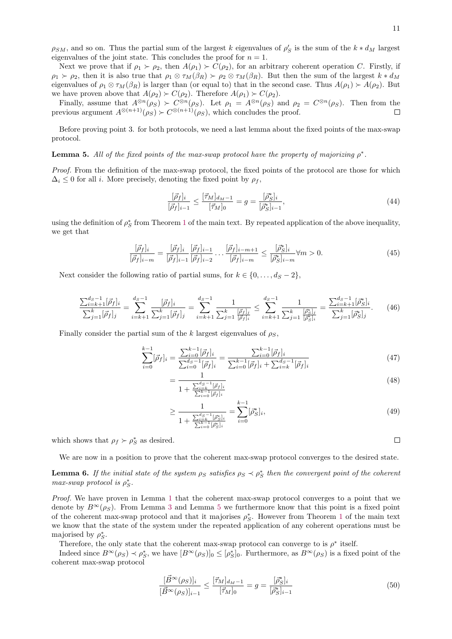$\rho_{SM}$ , and so on. Thus the partial sum of the largest k eigenvalues of  $\rho'_{S}$  is the sum of the  $k * d_M$  largest eigenvalues of the joint state. This concludes the proof for  $n = 1$ .

Next we prove that if  $\rho_1 \succ \rho_2$ , then  $A(\rho_1) \succ C(\rho_2)$ , for an arbitrary coherent operation C. Firstly, if  $\rho_1 \succ \rho_2$ , then it is also true that  $\rho_1 \otimes \tau_M(\beta_R) \succ \rho_2 \otimes \tau_M(\beta_R)$ . But then the sum of the largest  $k * d_M$ eigenvalues of  $\rho_1 \otimes \tau_M(\beta_R)$  is larger than (or equal to) that in the second case. Thus  $A(\rho_1) \succ A(\rho_2)$ . But we have proven above that  $A(\rho_2) \succ C(\rho_2)$ . Therefore  $A(\rho_1) \succ C(\rho_2)$ .

Finally, assume that  $A^{\otimes n}(\rho_S) \succ C^{\otimes n}(\rho_S)$ . Let  $\rho_1 = A^{\otimes n}(\rho_S)$  and  $\rho_2 = C^{\otimes n}(\rho_S)$ . Then from the previous argument  $A^{\otimes (n+1)}(\rho_S) \succ C^{\otimes (n+1)}(\rho_S)$ , which concludes the proof.  $\Box$ 

Before proving point 3. for both protocols, we need a last lemma about the fixed points of the max-swap protocol.

<span id="page-10-0"></span>**Lemma 5.** All of the fixed points of the max-swap protocol have the property of majorizing  $\rho^*$ .

Proof. From the definition of the max-swap protocol, the fixed points of the protocol are those for which  $\Delta_i \leq 0$  for all i. More precisely, denoting the fixed point by  $\rho_f$ ,

$$
\frac{[\vec{\rho}_f]_i}{[\vec{\rho}_f]_{i-1}} \le \frac{[\vec{\tau}_M]_{d_M - 1}}{[\vec{\tau}_M]_0} = g = \frac{[\vec{\rho}_S^*]_i}{[\vec{\rho}_S^*]_{i-1}},\tag{44}
$$

using the definition of  $\rho_S^*$  from Theorem [1](#page-1-0) of the main text. By repeated application of the above inequality, we get that

$$
\frac{[\vec{\rho}_f]_i}{[\vec{\rho}_f]_{i-m}} = \frac{[\vec{\rho}_f]_i}{[\vec{\rho}_f]_{i-1}} \frac{[\vec{\rho}_f]_{i-1}}{[\vec{\rho}_f]_{i-2}} \dots \frac{[\vec{\rho}_f]_{i-m+1}}{[\vec{\rho}_f]_{i-m}} \le \frac{[\vec{\rho}_S^*]_i}{[\vec{\rho}_S^*]_{i-m}} \forall m > 0.
$$
\n(45)

Next consider the following ratio of partial sums, for  $k \in \{0, \ldots, d_S - 2\},\$ 

$$
\frac{\sum_{i=k+1}^{d_S-1} [\vec{\rho}_f]_i}{\sum_{j=1}^k [\vec{\rho}_f]_j} = \sum_{i=k+1}^{d_S-1} \frac{[\vec{\rho}_f]_i}{\sum_{j=1}^k [\vec{\rho}_f]_j} = \sum_{i=k+1}^{d_S-1} \frac{1}{\sum_{j=1}^k \frac{[\vec{\rho}_f]_j}{[\vec{\rho}_f]_i}} \le \sum_{i=k+1}^{d_S-1} \frac{1}{\sum_{j=1}^k \frac{[\vec{\rho}_S^*]_j}{[\vec{\rho}_S^*]_i}} = \frac{\sum_{i=k+1}^{d_S-1} [\vec{\rho}_S^*]_i}{\sum_{j=1}^k [\vec{\rho}_S^*]_j}.
$$
(46)

Finally consider the partial sum of the k largest eigenvalues of  $\rho_S$ ,

$$
\sum_{i=0}^{k-1} [\vec{\rho}_f]_i = \frac{\sum_{i=0}^{k-1} [\vec{\rho}_f]_i}{\sum_{i=0}^{d_S-1} [\vec{\rho}_f]_i} = \frac{\sum_{i=0}^{k-1} [\vec{\rho}_f]_i}{\sum_{i=0}^{k-1} [\vec{\rho}_f]_i + \sum_{i=k}^{d_S-1} [\vec{\rho}_f]_i}
$$
(47)

$$
=\frac{1}{1+\frac{\sum_{i=k}^{d_{S}-1}[\vec{\rho}_{f}]_{i}}{\sum_{i=0}^{k-1}[\vec{\rho}_{f}]_{i}}}
$$
(48)

$$
\geq \frac{1}{1 + \frac{\sum_{i=k}^{d_S-1} [\bar{\rho}_S^*]_i}{\sum_{i=0}^{k-1} [\bar{\rho}_S^*]_i}} = \sum_{i=0}^{k-1} [\bar{\rho}_S^*]_i,\tag{49}
$$

which shows that  $\rho_f \succ \rho_S^*$  as desired.

We are now in a position to prove that the coherent max-swap protocol converges to the desired state.

# **Lemma 6.** If the initial state of the system  $\rho_S$  satisfies  $\rho_S \prec \rho_S^*$  then the convergent point of the coherent max-swap protocol is  $\rho_S^*$ .

Proof. We have proven in Lemma [1](#page-8-0) that the coherent max-swap protocol converges to a point that we denote by  $B^{\infty}(\rho_S)$ . From Lemma [3](#page-8-5) and Lemma [5](#page-10-0) we furthermore know that this point is a fixed point of the coherent max-swap protocol and that it majorises  $\rho_S^*$ . However from Theorem [1](#page-1-0) of the main text we know that the state of the system under the repeated application of any coherent operations must be majorised by  $\rho_S^*$ .

Therefore, the only state that the coherent max-swap protocol can converge to is  $\rho^*$  itself.

Indeed since  $B^{\infty}(\rho_S) \prec \rho_S^*$ , we have  $[B^{\infty}(\rho_S)]_0 \leq [\rho_S^*]_0$ . Furthermore, as  $B^{\infty}(\rho_S)$  is a fixed point of the coherent max-swap protocol

<span id="page-10-1"></span>
$$
\frac{[\vec{B}^{\infty}(\rho_S)]_i}{[\vec{B}^{\infty}(\rho_S)]_{i-1}} \le \frac{[\vec{\tau}_M]_{d_M - 1}}{[\vec{\tau}_M]_0} = g = \frac{[\vec{\rho}_S^*]_i}{[\vec{\rho}_S^*]_{i-1}} \tag{50}
$$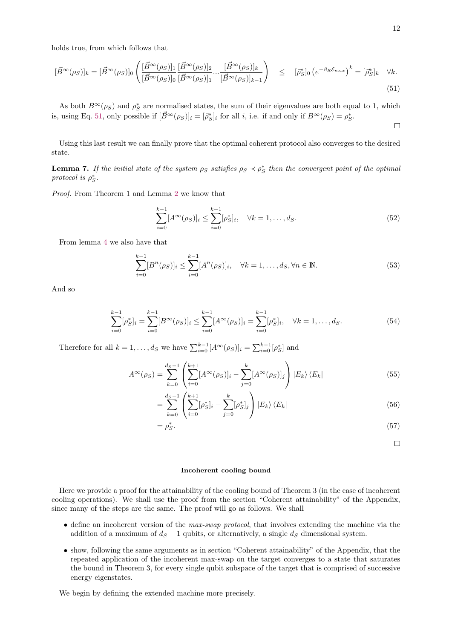holds true, from which follows that

$$
[\vec{B}^{\infty}(\rho_S)]_k = [\vec{B}^{\infty}(\rho_S)]_0 \left( \frac{[\vec{B}^{\infty}(\rho_S)]_1}{[\vec{B}^{\infty}(\rho_S)]_0} \frac{[\vec{B}^{\infty}(\rho_S)]_2}{[\vec{B}^{\infty}(\rho_S)]_1} \cdots \frac{[\vec{B}^{\infty}(\rho_S)]_k}{[\vec{B}^{\infty}(\rho_S)]_{k-1}} \right) \leq [\vec{\rho}_S^*]_0 \left( e^{-\beta_R \mathcal{E}_{max}} \right)^k = [\vec{\rho}_S^*]_k \quad \forall k.
$$
\n(51)

As both  $B^{\infty}(\rho_S)$  and  $\rho_S^*$  are normalised states, the sum of their eigenvalues are both equal to 1, which is, using Eq. [51,](#page-11-0) only possible if  $[\vec{B}^{\infty}(\rho_S)]_i = [\vec{\rho}_S^*]_i$  for all i, i.e. if and only if  $B^{\infty}(\rho_S) = \rho_S^*$ .

Using this last result we can finally prove that the optimal coherent protocol also converges to the desired state.

**Lemma 7.** If the initial state of the system  $\rho_S$  satisfies  $\rho_S \prec \rho_S^*$  then the convergent point of the optimal protocol is  $\rho_S^*$ .

Proof. From Theorem 1 and Lemma [2](#page-8-6) we know that

<span id="page-11-0"></span>
$$
\sum_{i=0}^{k-1} [A^{\infty}(\rho_S)]_i \le \sum_{i=0}^{k-1} [\rho_S^*]_i, \quad \forall k = 1, \dots, d_S.
$$
 (52)

From lemma [4](#page-9-2) we also have that

$$
\sum_{i=0}^{k-1} [B^n(\rho_S)]_i \le \sum_{i=0}^{k-1} [A^n(\rho_S)]_i, \quad \forall k = 1, ..., d_S, \forall n \in \mathbb{N}.
$$
 (53)

And so

$$
\sum_{i=0}^{k-1} [\rho_S^*]_i = \sum_{i=0}^{k-1} [B^\infty(\rho_S)]_i \le \sum_{i=0}^{k-1} [A^\infty(\rho_S)]_i = \sum_{i=0}^{k-1} [\rho_S^*]_i, \quad \forall k = 1, \dots, d_S.
$$
 (54)

Therefore for all  $k = 1, ..., d_S$  we have  $\sum_{i=0}^{k-1} [A^{\infty}(\rho_S)]_i = \sum_{i=0}^{k-1} [\rho_S^*]$  and

$$
A^{\infty}(\rho_S) = \sum_{k=0}^{d_S - 1} \left( \sum_{i=0}^{k+1} [A^{\infty}(\rho_S)]_i - \sum_{j=0}^k [A^{\infty}(\rho_S)]_j \right) |E_k\rangle \langle E_k|
$$
(55)

$$
= \sum_{k=0}^{d_S - 1} \left( \sum_{i=0}^{k+1} [\rho_S^*]_i - \sum_{j=0}^k [\rho_S^*]_j \right) |E_k\rangle \langle E_k|
$$
 (56)

$$
=\rho_S^*.\tag{57}
$$

 $\Box$ 

### Incoherent cooling bound

Here we provide a proof for the attainability of the cooling bound of Theorem 3 (in the case of incoherent cooling operations). We shall use the proof from the section "Coherent attainability" of the Appendix, since many of the steps are the same. The proof will go as follows. We shall

- define an incoherent version of the max-swap protocol, that involves extending the machine via the addition of a maximum of  $d<sub>S</sub> - 1$  qubits, or alternatively, a single  $d<sub>S</sub>$  dimensional system.
- show, following the same arguments as in section "Coherent attainability" of the Appendix, that the repeated application of the incoherent max-swap on the target converges to a state that saturates the bound in Theorem 3, for every single qubit subspace of the target that is comprised of successive energy eigenstates.

We begin by defining the extended machine more precisely.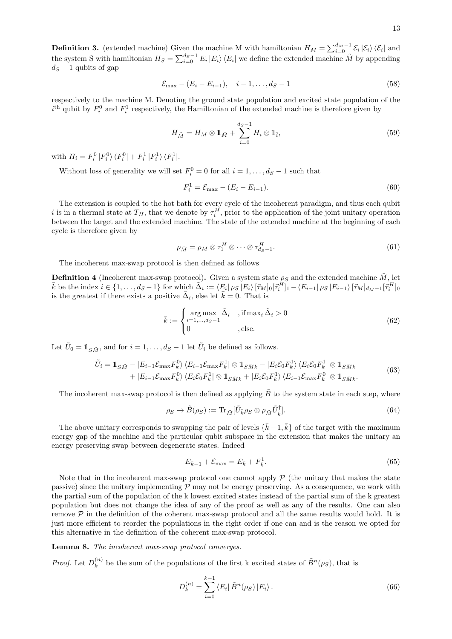$$
\mathcal{E}_{\max} - (E_i - E_{i-1}), \quad i - 1, \dots, d_S - 1 \tag{58}
$$

respectively to the machine M. Denoting the ground state population and excited state population of the  $i<sup>th</sup>$  qubit by  $F_i^0$  and  $F_i^1$  respectively, the Hamiltonian of the extended machine is therefore given by

$$
H_{\tilde{M}} = H_M \otimes \mathbb{1}_{\bar{M}} + \sum_{i=0}^{d_S - 1} H_i \otimes \mathbb{1}_{\bar{i}},\tag{59}
$$

with  $H_i = F_i^0 |F_i^0\rangle \langle F_i^0| + F_i^1 |F_i^1\rangle \langle F_i^1|$ .

Without loss of generality we will set  $F_i^0 = 0$  for all  $i = 1, ..., d_S - 1$  such that

$$
F_i^1 = \mathcal{E}_{\text{max}} - (E_i - E_{i-1}).
$$
\n(60)

The extension is coupled to the hot bath for every cycle of the incoherent paradigm, and thus each qubit i is in a thermal state at  $T_H$ , that we denote by  $\tau_i^H$ , prior to the application of the joint unitary operation between the target and the extended machine. The state of the extended machine at the beginning of each cycle is therefore given by

$$
\rho_{\tilde{M}} = \rho_M \otimes \tau_1^H \otimes \cdots \otimes \tau_{d_S - 1}^H. \tag{61}
$$

The incoherent max-swap protocol is then defined as follows

**Definition 4** (Incoherent max-swap protocol). Given a system state  $\rho_S$  and the extended machine  $\tilde{M}$ , let  $\bar{k}$  be the index  $i \in \{1, \ldots, d_S - 1\}$  for which  $\tilde{\Delta}_i := \langle E_i | \rho_S | E_i \rangle [\vec{\tau}_M]_0 [\vec{\tau}_i^H]_1 - \langle E_{i-1} | \rho_S | E_{i-1} \rangle [\vec{\tau}_M]_{d_M - 1} [\vec{\tau}_i^H]_0$ is the greatest if there exists a positive  $\tilde{\Delta}_i$ , else let  $\bar{k} = 0$ . That is

$$
\bar{k} := \begin{cases}\n\arg \max_{i=1,\dots,d_S-1} \tilde{\Delta}_i, & \text{if } \max_i \tilde{\Delta}_i > 0 \\
0, & \text{else.}\n\end{cases} \tag{62}
$$

Let  $\tilde{U}_0 = \mathbb{1}_{S\tilde{M}}$ , and for  $i = 1, ..., d_S - 1$  let  $\tilde{U}_i$  be defined as follows.

$$
\tilde{U}_{i} = \mathbb{1}_{S\tilde{M}} - |E_{i-1}\mathcal{E}_{\text{max}}F_{k}^{0}\rangle \langle E_{i-1}\mathcal{E}_{\text{max}}F_{k}^{1}| \otimes \mathbb{1}_{S\tilde{M}k} - |E_{i}\mathcal{E}_{0}F_{k}^{1}\rangle \langle E_{i}\mathcal{E}_{0}F_{k}^{1}| \otimes \mathbb{1}_{S\tilde{M}k} \n+ |E_{i-1}\mathcal{E}_{\text{max}}F_{k}^{0}\rangle \langle E_{i}\mathcal{E}_{0}F_{k}^{1}| \otimes \mathbb{1}_{S\tilde{M}k} + |E_{i}\mathcal{E}_{0}F_{k}^{1}\rangle \langle E_{i-1}\mathcal{E}_{\text{max}}F_{k}^{0}| \otimes \mathbb{1}_{S\tilde{M}k}.
$$
\n(63)

The incoherent max-swap protocol is then defined as applying  $\tilde{B}$  to the system state in each step, where

$$
\rho_S \mapsto \tilde{B}(\rho_S) := \text{Tr}_{\tilde{M}} [\tilde{U}_{\bar{k}} \rho_S \otimes \rho_{\tilde{M}} \tilde{U}_{\bar{k}}^{\dagger}]. \tag{64}
$$

The above unitary corresponds to swapping the pair of levels  $\{\bar{k} - 1, \bar{k}\}$  of the target with the maximum energy gap of the machine and the particular qubit subspace in the extension that makes the unitary an energy preserving swap between degenerate states. Indeed

$$
E_{\bar{k}-1} + \mathcal{E}_{\max} = E_{\bar{k}} + F_{\bar{k}}^1.
$$
\n(65)

Note that in the incoherent max-swap protocol one cannot apply  $P$  (the unitary that makes the state passive) since the unitary implementing  $P$  may not be energy preserving. As a consequence, we work with the partial sum of the population of the k lowest excited states instead of the partial sum of the k greatest population but does not change the idea of any of the proof as well as any of the results. One can also remove  $P$  in the definition of the coherent max-swap protocol and all the same results would hold. It is just more efficient to reorder the populations in the right order if one can and is the reason we opted for this alternative in the definition of the coherent max-swap protocol.

## Lemma 8. The incoherent max-swap protocol converges.

*Proof.* Let  $D_k^{(n)}$  $\hat{k}^{(n)}$  be the sum of the populations of the first k excited states of  $\tilde{B}^n(\rho_S)$ , that is

$$
D_k^{(n)} = \sum_{i=0}^{k-1} \langle E_i | \tilde{B}^n(\rho_S) | E_i \rangle.
$$
 (66)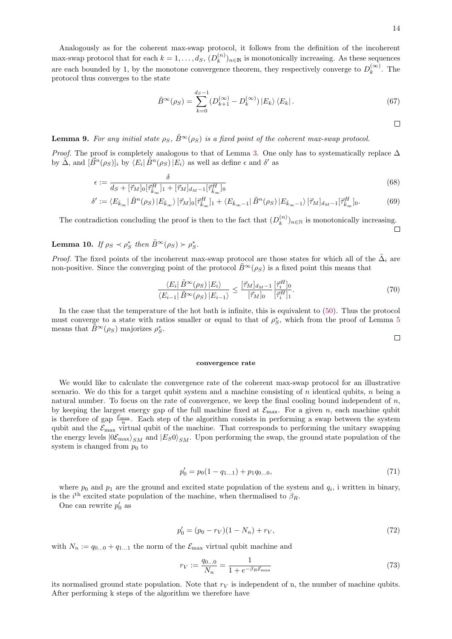$$
\tilde{B}^{\infty}(\rho_S) = \sum_{k=0}^{d_S - 1} \left( D_{k+1}^{(\infty)} - D_k^{(\infty)} \right) \left| E_k \right\rangle \left\langle E_k \right|.
$$
\n(67)

 $\Box$ 

 $\Box$ 

## **Lemma 9.** For any initial state  $\rho_S$ ,  $\tilde{B}^\infty(\rho_S)$  is a fixed point of the coherent max-swap protocol.

*Proof.* The proof is completely analogous to that of Lemma [3.](#page-8-5) One only has to systematically replace  $\Delta$ by  $\tilde{\Delta}$ , and  $[\vec{B}^n(\rho_S)]_i$  by  $\langle E_i|\tilde{B}^n(\rho_S)|E_i\rangle$  as well as define  $\epsilon$  and  $\delta'$  as

$$
\epsilon := \frac{\delta}{d_S + [\vec{\tau}_M]_0 [\vec{\tau}_{\vec{k}_{\infty}}^H]_1 + [\vec{\tau}_M]_{d_M - 1} [\vec{\tau}_{\vec{k}_{\infty}}^H]_0} \tag{68}
$$

$$
\delta' := \langle E_{\bar{k}_{\infty}} | \tilde{B}^n(\rho_S) | E_{\bar{k}_{\infty}} \rangle [\vec{\tau}_M]_0 [\vec{\tau}_{\bar{k}_{\infty}}^H]_1 + \langle E_{\bar{k}_{\infty}-1} | \tilde{B}^n(\rho_S) | E_{\bar{k}_{\infty}-1} \rangle [\vec{\tau}_M]_{d_M-1} [\vec{\tau}_{\bar{k}_{\infty}}^H]_0. \tag{69}
$$

The contradiction concluding the proof is then to the fact that  $(D_k^{(n)})$  $\binom{n}{k}$ <sub>n∈N</sub> is monotonically increasing.

**Lemma 10.** If  $\rho_S \prec \rho_S^*$  then  $\tilde{B}^{\infty}(\rho_S) \succ \rho_S^*$ .

*Proof.* The fixed points of the incoherent max-swap protocol are those states for which all of the  $\tilde{\Delta}_i$  are non-positive. Since the converging point of the protocol  $\bar{B}^{\infty}(\rho_S)$  is a fixed point this means that

$$
\frac{\langle E_i | \tilde{B}^{\infty}(\rho_S) | E_i \rangle}{\langle E_{i-1} | \tilde{B}^{\infty}(\rho_S) | E_{i-1} \rangle} \le \frac{[\vec{\tau}_M]_{d_M - 1}}{[\vec{\tau}_M]_0} \frac{[\vec{\tau}_i^H]_0}{[\vec{\tau}_i^H]_1}.
$$
\n(70)

In the case that the temperature of the hot bath is infinite, this is equivalent to [\(50\)](#page-10-1). Thus the protocol must converge to a state with ratios smaller or equal to that of  $\rho_S^*$ , which from the proof of Lemma [5](#page-10-0) means that  $\tilde{B}^{\infty}(\rho_S)$  majorizes  $\rho_S^*$ .

 $\Box$ 

#### convergence rate

We would like to calculate the convergence rate of the coherent max-swap protocol for an illustrative scenario. We do this for a target qubit system and a machine consisting of n identical qubits, n being a natural number. To focus on the rate of convergence, we keep the final cooling bound independent of  $n$ , by keeping the largest energy gap of the full machine fixed at  $\mathcal{E}_{\text{max}}$ . For a given n, each machine qubit is therefore of gap  $\frac{\mathcal{E}_{\max}}{n}$ . Each step of the algorithm consists in performing a swap between the system qubit and the  $\mathcal{E}_{\text{max}}$  virtual qubit of the machine. That corresponds to performing the unitary swapping the energy levels  $|0E_{\text{max}}\rangle_{SM}$  and  $|E_S0\rangle_{SM}$ . Upon performing the swap, the ground state population of the system is changed from  $p_0$  to

$$
p'_0 = p_0(1 - q_{1...1}) + p_1 q_{0...0},\tag{71}
$$

where  $p_0$  and  $p_1$  are the ground and excited state population of the system and  $q_i$ , i written in binary, is the i<sup>th</sup> excited state population of the machine, when thermalised to  $\beta_R$ .

One can rewrite  $p'_0$  as

$$
p'_0 = (p_0 - r_V)(1 - N_n) + r_V,
$$
\n(72)

with  $N_n := q_{0...0} + q_{1...1}$  the norm of the  $\mathcal{E}_{\text{max}}$  virtual qubit machine and

$$
r_V := \frac{q_{0...0}}{N_n} = \frac{1}{1 + e^{-\beta_R \mathcal{E}_{\text{max}}}}\tag{73}
$$

its normalised ground state population. Note that  $r_V$  is independent of n, the number of machine qubits. After performing k steps of the algorithm we therefore have